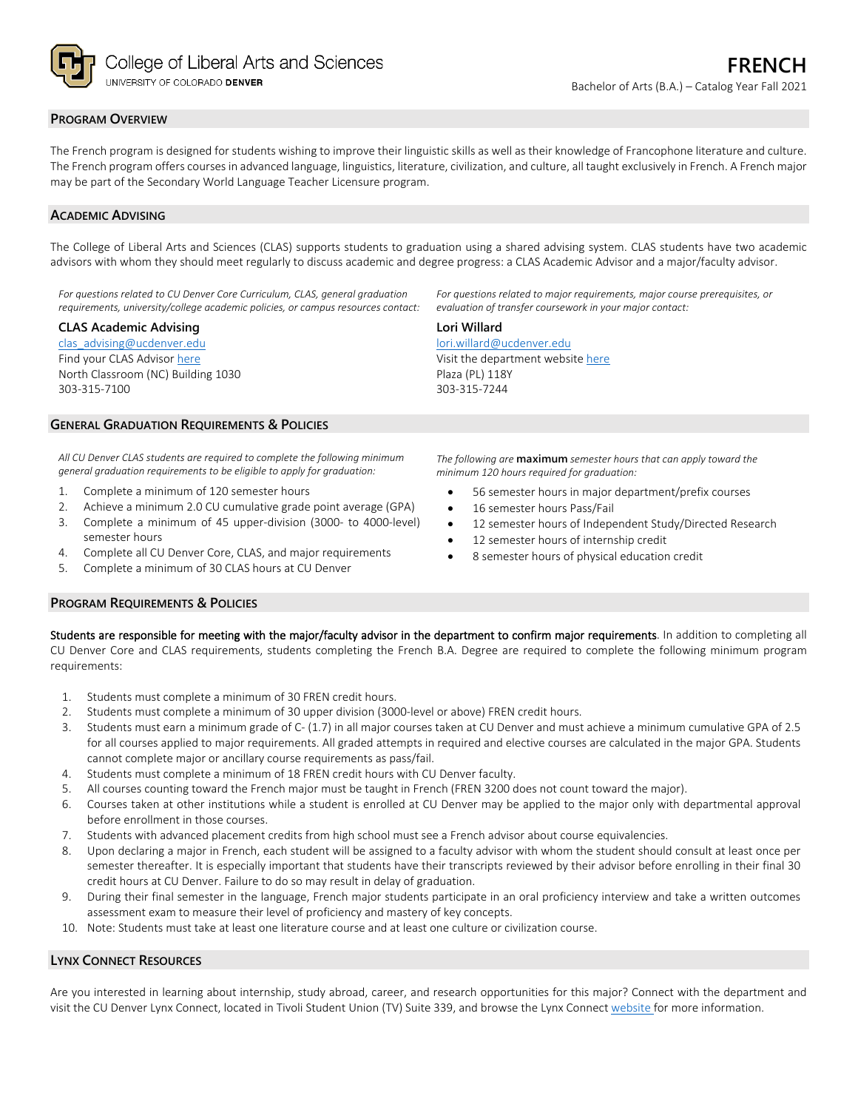

## **PROGRAM OVERVIEW**

The French program is designed for students wishing to improve their linguistic skills as well as their knowledge of Francophone literature and culture. The French program offers courses in advanced language, linguistics, literature, civilization, and culture, all taught exclusively in French. A French major may be part of the Secondary World Language Teacher Licensure program.

### **ACADEMIC ADVISING**

The College of Liberal Arts and Sciences (CLAS) supports students to graduation using a shared advising system. CLAS students have two academic advisors with whom they should meet regularly to discuss academic and degree progress: a CLAS Academic Advisor and a major/faculty advisor.

*For questions related to CU Denver Core Curriculum, CLAS, general graduation requirements, university/college academic policies, or campus resources contact:*

### **CLAS Academic Advising**

[clas\\_advising@ucdenver.edu](mailto:clas_advising@ucdenver.edu) Find your CLAS Adviso[r here](https://clas.ucdenver.edu/advising/about-us/clas-advising-staff) North Classroom (NC) Building 1030 303-315-7100

## *For questions related to major requirements, major course prerequisites, or evaluation of transfer coursework in your major contact:*

# **Lori Willard**

[lori.willard@ucdenver.edu](mailto:lori.willard@ucdenver.edu) Visit the department websit[e here](https://clas.ucdenver.edu/modLang/) Plaza (PL) 118Y 303-315-7244

## **GENERAL GRADUATION REQUIREMENTS & POLICIES**

*All CU Denver CLAS students are required to complete the following minimum general graduation requirements to be eligible to apply for graduation:*

- 1. Complete a minimum of 120 semester hours
- 2. Achieve a minimum 2.0 CU cumulative grade point average (GPA)
- 3. Complete a minimum of 45 upper-division (3000- to 4000-level) semester hours
- 4. Complete all CU Denver Core, CLAS, and major requirements
- 5. Complete a minimum of 30 CLAS hours at CU Denver

*The following are* **maximum** *semester hours that can apply toward the minimum 120 hours required for graduation:*

- 56 semester hours in major department/prefix courses
- 16 semester hours Pass/Fail
- 12 semester hours of Independent Study/Directed Research
- 12 semester hours of internship credit
- 8 semester hours of physical education credit

## **PROGRAM REQUIREMENTS & POLICIES**

Students are responsible for meeting with the major/faculty advisor in the department to confirm major requirements. In addition to completing all CU Denver Core and CLAS requirements, students completing the French B.A. Degree are required to complete the following minimum program requirements:

- 1. Students must complete a minimum of 30 FREN credit hours.
- 2. Students must complete a minimum of 30 upper division (3000-level or above) FREN credit hours.
- 3. Students must earn a minimum grade of C- (1.7) in all major courses taken at CU Denver and must achieve a minimum cumulative GPA of 2.5 for all courses applied to major requirements. All graded attempts in required and elective courses are calculated in the major GPA. Students cannot complete major or ancillary course requirements as pass/fail.
- 4. Students must complete a minimum of 18 FREN credit hours with CU Denver faculty.
- 5. All courses counting toward the French major must be taught in French (FREN 3200 does not count toward the major).
- 6. Courses taken at other institutions while a student is enrolled at CU Denver may be applied to the major only with departmental approval before enrollment in those courses.
- 7. Students with advanced placement credits from high school must see a French advisor about course equivalencies.
- 8. Upon declaring a major in French, each student will be assigned to a faculty advisor with whom the student should consult at least once per semester thereafter. It is especially important that students have their transcripts reviewed by their advisor before enrolling in their final 30 credit hours at CU Denver. Failure to do so may result in delay of graduation.
- 9. During their final semester in the language, French major students participate in an oral proficiency interview and take a written outcomes assessment exam to measure their level of proficiency and mastery of key concepts.
- 10. Note: Students must take at least one literature course and at least one culture or civilization course.

#### **LYNX CONNECT RESOURCES**

Are you interested in learning about internship, study abroad, career, and research opportunities for this major? Connect with the department and visit the CU Denver Lynx Connect, located in Tivoli Student Union (TV) Suite 339, and browse the Lynx Connec[t website](http://www.ucdenver.edu/lynxconnect/Pages/default.aspx) for more information.